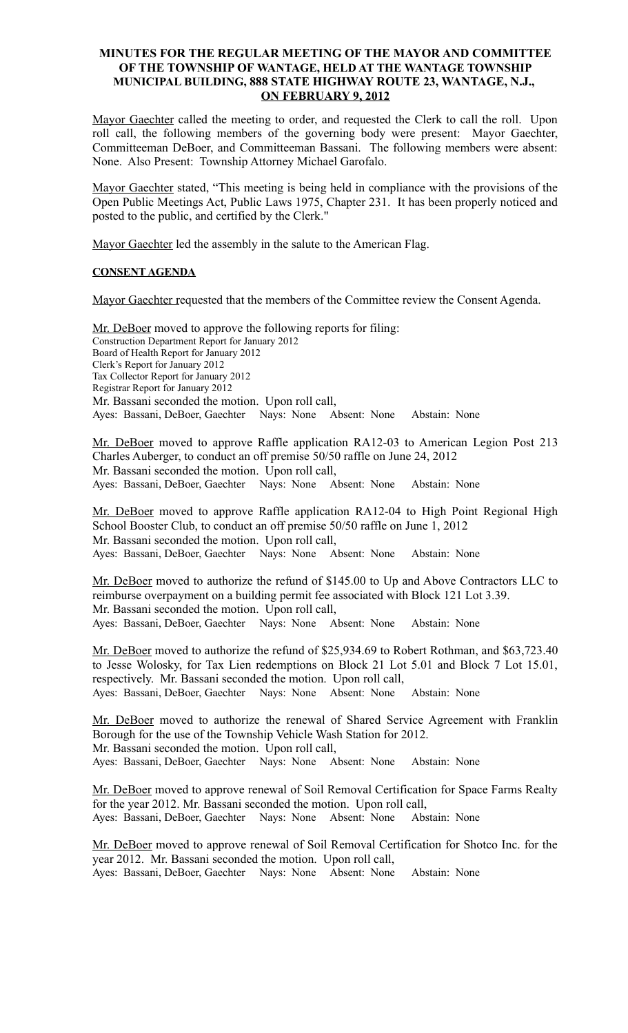## **MINUTES FOR THE REGULAR MEETING OF THE MAYOR AND COMMITTEE OF THE TOWNSHIP OF WANTAGE, HELD AT THE WANTAGE TOWNSHIP MUNICIPAL BUILDING, 888 STATE HIGHWAY ROUTE 23, WANTAGE, N.J., ON FEBRUARY 9, 2012**

Mayor Gaechter called the meeting to order, and requested the Clerk to call the roll. Upon roll call, the following members of the governing body were present: Mayor Gaechter, Committeeman DeBoer, and Committeeman Bassani. The following members were absent: None. Also Present: Township Attorney Michael Garofalo.

Mayor Gaechter stated, "This meeting is being held in compliance with the provisions of the Open Public Meetings Act, Public Laws 1975, Chapter 231. It has been properly noticed and posted to the public, and certified by the Clerk."

Mayor Gaechter led the assembly in the salute to the American Flag.

# **CONSENT AGENDA**

Mayor Gaechter requested that the members of the Committee review the Consent Agenda.

Mr. DeBoer moved to approve the following reports for filing: Construction Department Report for January 2012 Board of Health Report for January 2012 Clerk's Report for January 2012 Tax Collector Report for January 2012 Registrar Report for January 2012 Mr. Bassani seconded the motion. Upon roll call, Ayes: Bassani, DeBoer, Gaechter Nays: None Absent: None Abstain: None

Mr. DeBoer moved to approve Raffle application RA12-03 to American Legion Post 213 Charles Auberger, to conduct an off premise 50/50 raffle on June 24, 2012 Mr. Bassani seconded the motion. Upon roll call, Ayes: Bassani, DeBoer, Gaechter Nays: None Absent: None Abstain: None

Mr. DeBoer moved to approve Raffle application RA12-04 to High Point Regional High School Booster Club, to conduct an off premise 50/50 raffle on June 1, 2012 Mr. Bassani seconded the motion. Upon roll call, Ayes: Bassani, DeBoer, Gaechter Nays: None Absent: None Abstain: None

Mr. DeBoer moved to authorize the refund of \$145.00 to Up and Above Contractors LLC to reimburse overpayment on a building permit fee associated with Block 121 Lot 3.39. Mr. Bassani seconded the motion. Upon roll call, Ayes: Bassani, DeBoer, Gaechter Nays: None Absent: None Abstain: None

Mr. DeBoer moved to authorize the refund of \$25,934.69 to Robert Rothman, and \$63,723.40 to Jesse Wolosky, for Tax Lien redemptions on Block 21 Lot 5.01 and Block 7 Lot 15.01, respectively. Mr. Bassani seconded the motion. Upon roll call, Ayes: Bassani, DeBoer, Gaechter Nays: None Absent: None Abstain: None

Mr. DeBoer moved to authorize the renewal of Shared Service Agreement with Franklin Borough for the use of the Township Vehicle Wash Station for 2012. Mr. Bassani seconded the motion. Upon roll call, Ayes: Bassani, DeBoer, Gaechter Nays: None Absent: None Abstain: None

Mr. DeBoer moved to approve renewal of Soil Removal Certification for Space Farms Realty for the year 2012. Mr. Bassani seconded the motion. Upon roll call, Ayes: Bassani, DeBoer, Gaechter Nays: None Absent: None Abstain: None

Mr. DeBoer moved to approve renewal of Soil Removal Certification for Shotco Inc. for the year 2012. Mr. Bassani seconded the motion. Upon roll call, Ayes: Bassani, DeBoer, Gaechter Nays: None Absent: None Abstain: None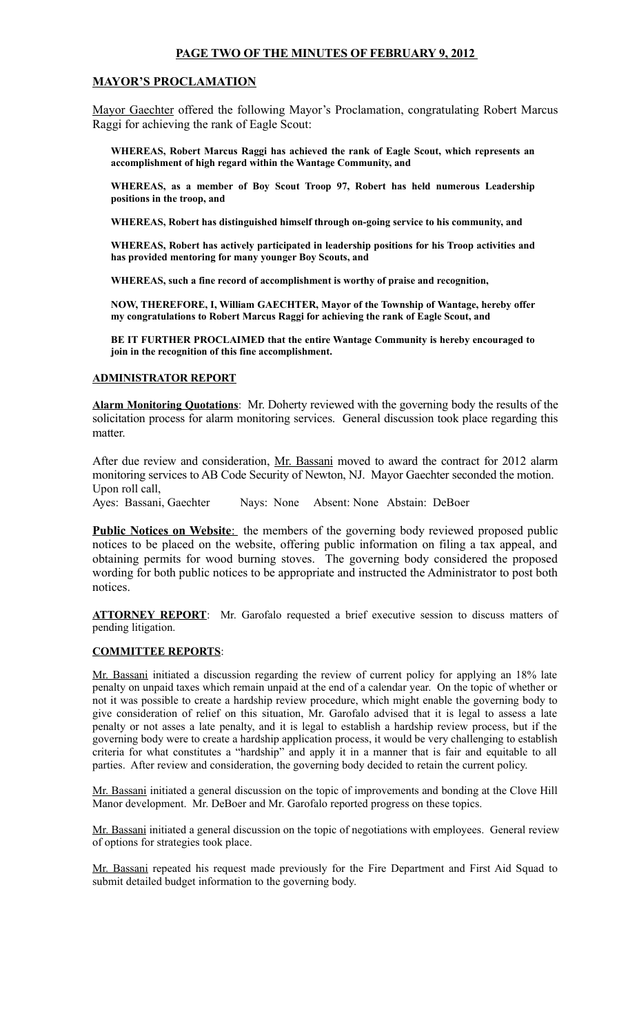# **PAGE TWO OF THE MINUTES OF FEBRUARY 9, 2012**

## **MAYOR'S PROCLAMATION**

Mayor Gaechter offered the following Mayor's Proclamation, congratulating Robert Marcus Raggi for achieving the rank of Eagle Scout:

**WHEREAS, Robert Marcus Raggi has achieved the rank of Eagle Scout, which represents an accomplishment of high regard within the Wantage Community, and**

**WHEREAS, as a member of Boy Scout Troop 97, Robert has held numerous Leadership positions in the troop, and**

**WHEREAS, Robert has distinguished himself through on-going service to his community, and**

**WHEREAS, Robert has actively participated in leadership positions for his Troop activities and has provided mentoring for many younger Boy Scouts, and** 

**WHEREAS, such a fine record of accomplishment is worthy of praise and recognition,**

**NOW, THEREFORE, I, William GAECHTER, Mayor of the Township of Wantage, hereby offer my congratulations to Robert Marcus Raggi for achieving the rank of Eagle Scout, and** 

**BE IT FURTHER PROCLAIMED that the entire Wantage Community is hereby encouraged to join in the recognition of this fine accomplishment.**

#### **ADMINISTRATOR REPORT**

**Alarm Monitoring Quotations**: Mr. Doherty reviewed with the governing body the results of the solicitation process for alarm monitoring services. General discussion took place regarding this matter.

After due review and consideration, Mr. Bassani moved to award the contract for 2012 alarm monitoring services to AB Code Security of Newton, NJ. Mayor Gaechter seconded the motion. Upon roll call,

Ayes: Bassani, Gaechter Nays: None Absent: None Abstain: DeBoer

**Public Notices on Website:** the members of the governing body reviewed proposed public notices to be placed on the website, offering public information on filing a tax appeal, and obtaining permits for wood burning stoves. The governing body considered the proposed wording for both public notices to be appropriate and instructed the Administrator to post both notices.

**ATTORNEY REPORT**: Mr. Garofalo requested a brief executive session to discuss matters of pending litigation.

#### **COMMITTEE REPORTS**:

Mr. Bassani initiated a discussion regarding the review of current policy for applying an 18% late penalty on unpaid taxes which remain unpaid at the end of a calendar year. On the topic of whether or not it was possible to create a hardship review procedure, which might enable the governing body to give consideration of relief on this situation, Mr. Garofalo advised that it is legal to assess a late penalty or not asses a late penalty, and it is legal to establish a hardship review process, but if the governing body were to create a hardship application process, it would be very challenging to establish criteria for what constitutes a "hardship" and apply it in a manner that is fair and equitable to all parties. After review and consideration, the governing body decided to retain the current policy.

Mr. Bassani initiated a general discussion on the topic of improvements and bonding at the Clove Hill Manor development. Mr. DeBoer and Mr. Garofalo reported progress on these topics.

Mr. Bassani initiated a general discussion on the topic of negotiations with employees. General review of options for strategies took place.

Mr. Bassani repeated his request made previously for the Fire Department and First Aid Squad to submit detailed budget information to the governing body.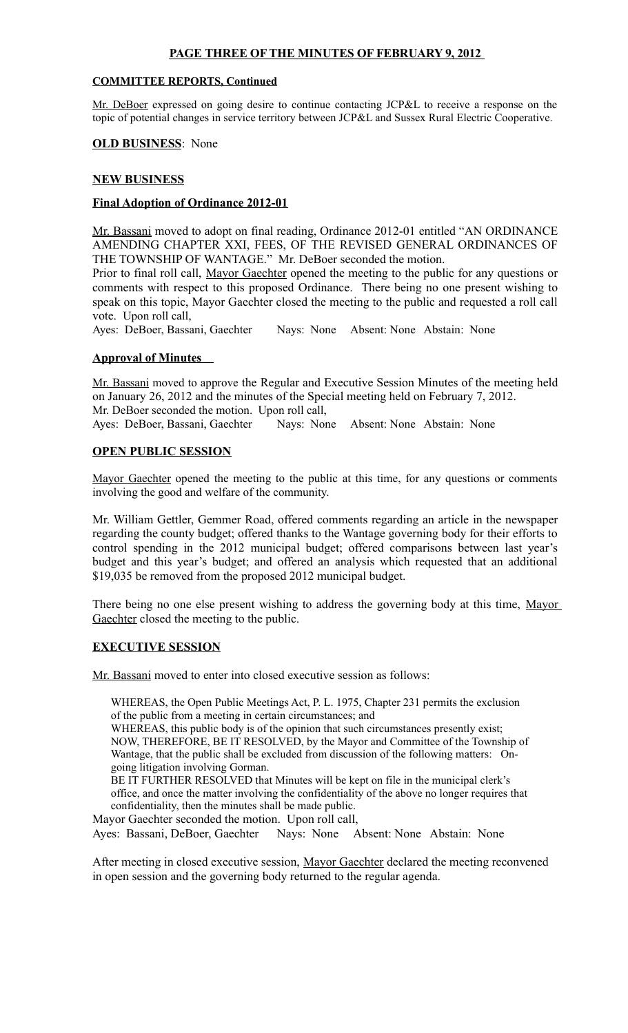# **PAGE THREE OF THE MINUTES OF FEBRUARY 9, 2012**

## **COMMITTEE REPORTS, Continued**

Mr. DeBoer expressed on going desire to continue contacting JCP&L to receive a response on the topic of potential changes in service territory between JCP&L and Sussex Rural Electric Cooperative.

#### **OLD BUSINESS**: None

## **NEW BUSINESS**

# **Final Adoption of Ordinance 2012-01**

Mr. Bassani moved to adopt on final reading, Ordinance 2012-01 entitled "AN ORDINANCE AMENDING CHAPTER XXI, FEES, OF THE REVISED GENERAL ORDINANCES OF THE TOWNSHIP OF WANTAGE." Mr. DeBoer seconded the motion.

Prior to final roll call, Mayor Gaechter opened the meeting to the public for any questions or comments with respect to this proposed Ordinance. There being no one present wishing to speak on this topic, Mayor Gaechter closed the meeting to the public and requested a roll call vote. Upon roll call,

Ayes: DeBoer, Bassani, Gaechter Nays: None Absent: None Abstain: None

## **Approval of Minutes**

Mr. Bassani moved to approve the Regular and Executive Session Minutes of the meeting held on January 26, 2012 and the minutes of the Special meeting held on February 7, 2012. Mr. DeBoer seconded the motion. Upon roll call,

Ayes: DeBoer, Bassani, Gaechter Nays: None Absent: None Abstain: None

## **OPEN PUBLIC SESSION**

Mayor Gaechter opened the meeting to the public at this time, for any questions or comments involving the good and welfare of the community.

Mr. William Gettler, Gemmer Road, offered comments regarding an article in the newspaper regarding the county budget; offered thanks to the Wantage governing body for their efforts to control spending in the 2012 municipal budget; offered comparisons between last year's budget and this year's budget; and offered an analysis which requested that an additional \$19,035 be removed from the proposed 2012 municipal budget.

There being no one else present wishing to address the governing body at this time, Mayor Gaechter closed the meeting to the public.

#### **EXECUTIVE SESSION**

Mr. Bassani moved to enter into closed executive session as follows:

WHEREAS, the Open Public Meetings Act, P. L. 1975, Chapter 231 permits the exclusion of the public from a meeting in certain circumstances; and

WHEREAS, this public body is of the opinion that such circumstances presently exist; NOW, THEREFORE, BE IT RESOLVED, by the Mayor and Committee of the Township of Wantage, that the public shall be excluded from discussion of the following matters: Ongoing litigation involving Gorman.

BE IT FURTHER RESOLVED that Minutes will be kept on file in the municipal clerk's office, and once the matter involving the confidentiality of the above no longer requires that confidentiality, then the minutes shall be made public.

Mayor Gaechter seconded the motion. Upon roll call, Ayes: Bassani, DeBoer, Gaechter Nays: None Absent: None Abstain: None

After meeting in closed executive session, Mayor Gaechter declared the meeting reconvened in open session and the governing body returned to the regular agenda.